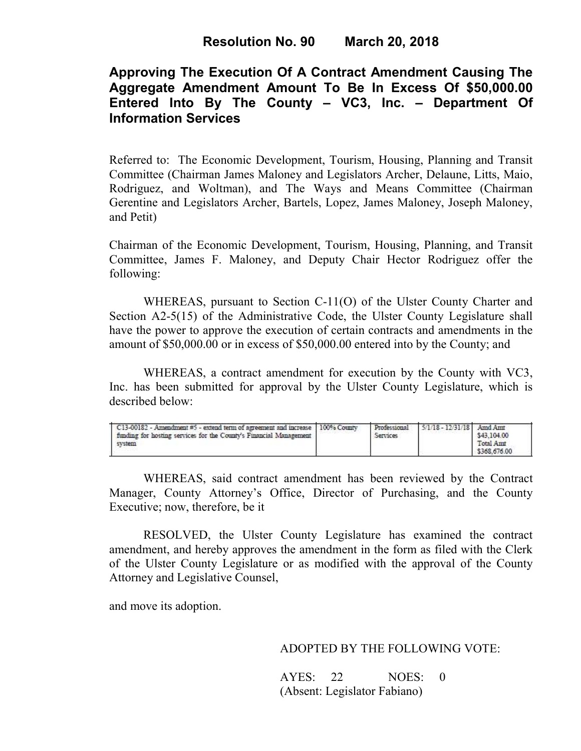# **Approving The Execution Of A Contract Amendment Causing The Aggregate Amendment Amount To Be In Excess Of \$50,000.00 Entered Into By The County – VC3, Inc. – Department Of Information Services**

Referred to: The Economic Development, Tourism, Housing, Planning and Transit Committee (Chairman James Maloney and Legislators Archer, Delaune, Litts, Maio, Rodriguez, and Woltman), and The Ways and Means Committee (Chairman Gerentine and Legislators Archer, Bartels, Lopez, James Maloney, Joseph Maloney, and Petit)

Chairman of the Economic Development, Tourism, Housing, Planning, and Transit Committee, James F. Maloney, and Deputy Chair Hector Rodriguez offer the following:

WHEREAS, pursuant to Section C-11(O) of the Ulster County Charter and Section A2-5(15) of the Administrative Code, the Ulster County Legislature shall have the power to approve the execution of certain contracts and amendments in the amount of \$50,000.00 or in excess of \$50,000.00 entered into by the County; and

 WHEREAS, a contract amendment for execution by the County with VC3, Inc. has been submitted for approval by the Ulster County Legislature, which is described below:

| C13-00182 - Amendment #5 - extend term of agreement and increase   100% County<br>funding for hosting services for the County's Financial Management<br>wstem |  | Professional<br>Services | $5/1/18 - 12/31/18$ | Amd Amt<br>\$43,104.00<br>Total Annt<br>\$368,676.00 |  |
|---------------------------------------------------------------------------------------------------------------------------------------------------------------|--|--------------------------|---------------------|------------------------------------------------------|--|
|---------------------------------------------------------------------------------------------------------------------------------------------------------------|--|--------------------------|---------------------|------------------------------------------------------|--|

WHEREAS, said contract amendment has been reviewed by the Contract Manager, County Attorney's Office, Director of Purchasing, and the County Executive; now, therefore, be it

RESOLVED, the Ulster County Legislature has examined the contract amendment, and hereby approves the amendment in the form as filed with the Clerk of the Ulster County Legislature or as modified with the approval of the County Attorney and Legislative Counsel,

and move its adoption.

### ADOPTED BY THE FOLLOWING VOTE:

| AYES: 22 | NOES: 0                      |  |
|----------|------------------------------|--|
|          | (Absent: Legislator Fabiano) |  |